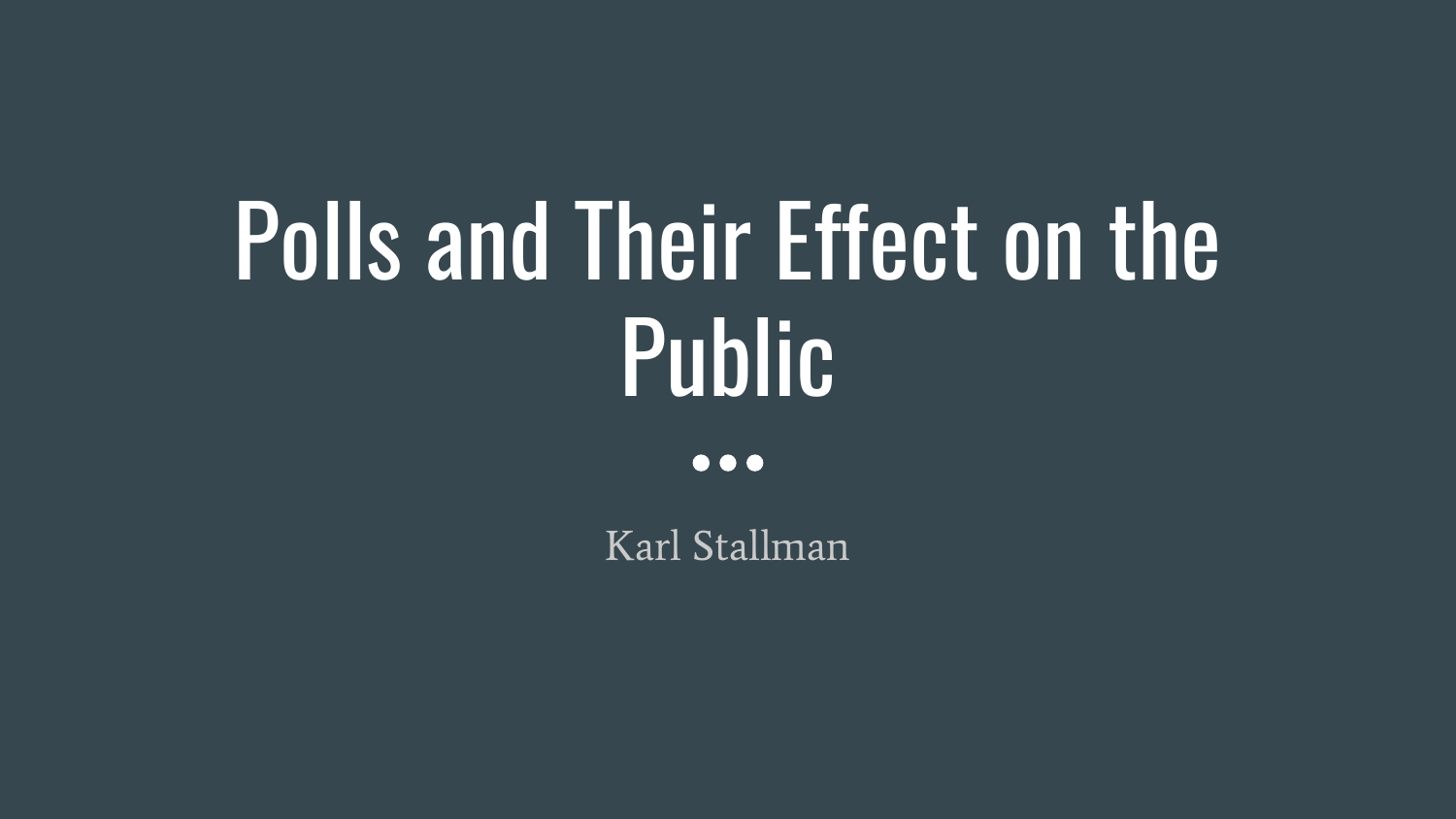# Polls and Their Effect on the **Public**

 $\bullet\bullet\bullet$ 

Karl Stallman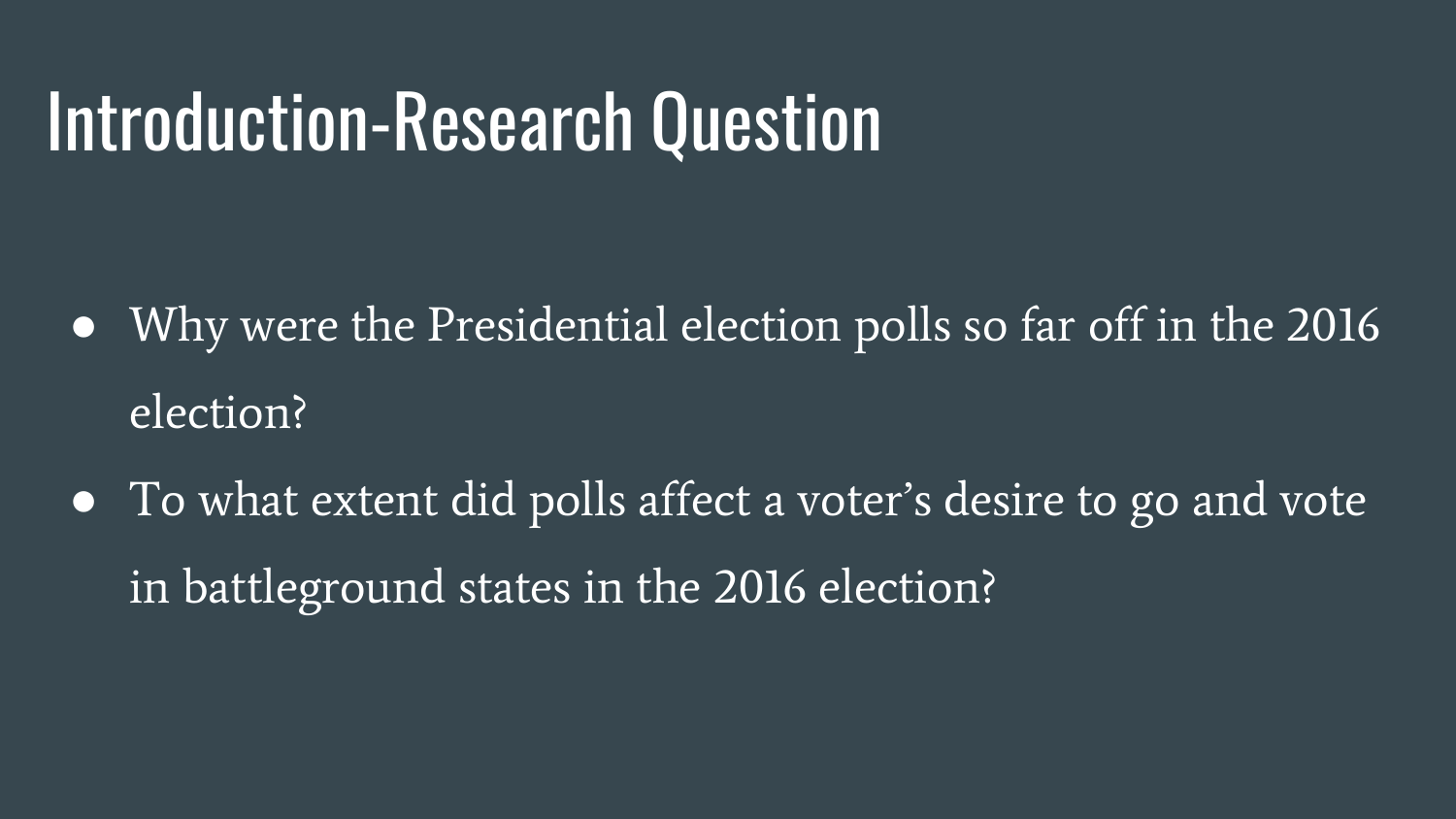#### Introduction-Research Question

- Why were the Presidential election polls so far off in the 2016 election?
- To what extent did polls affect a voter's desire to go and vote in battleground states in the 2016 election?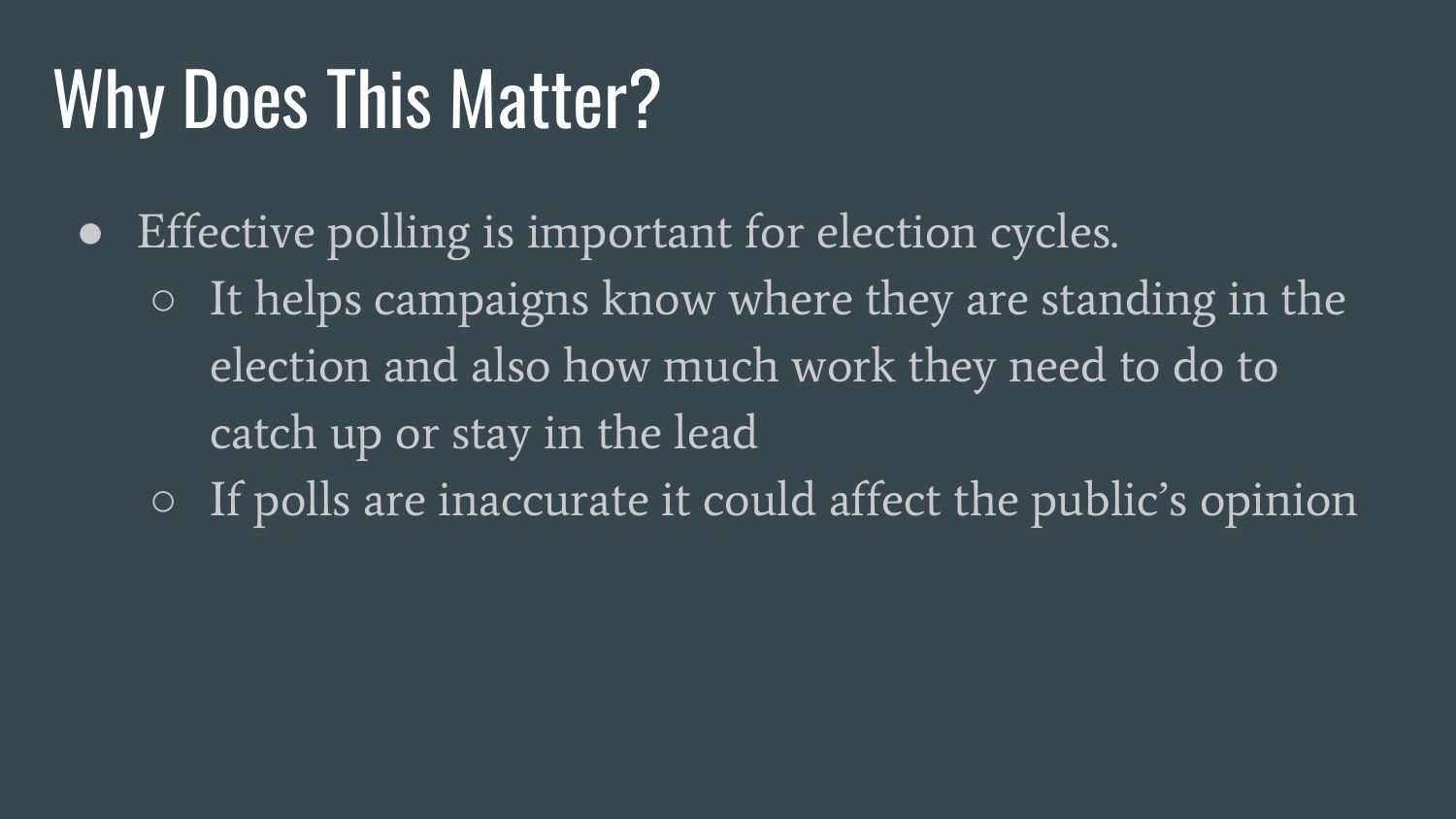## Why Does This Matter?

- Effective polling is important for election cycles.
	- $\circ$  It helps campaigns know where they are standing in the election and also how much work they need to do to catch up or stay in the lead
	- If polls are inaccurate it could affect the public's opinion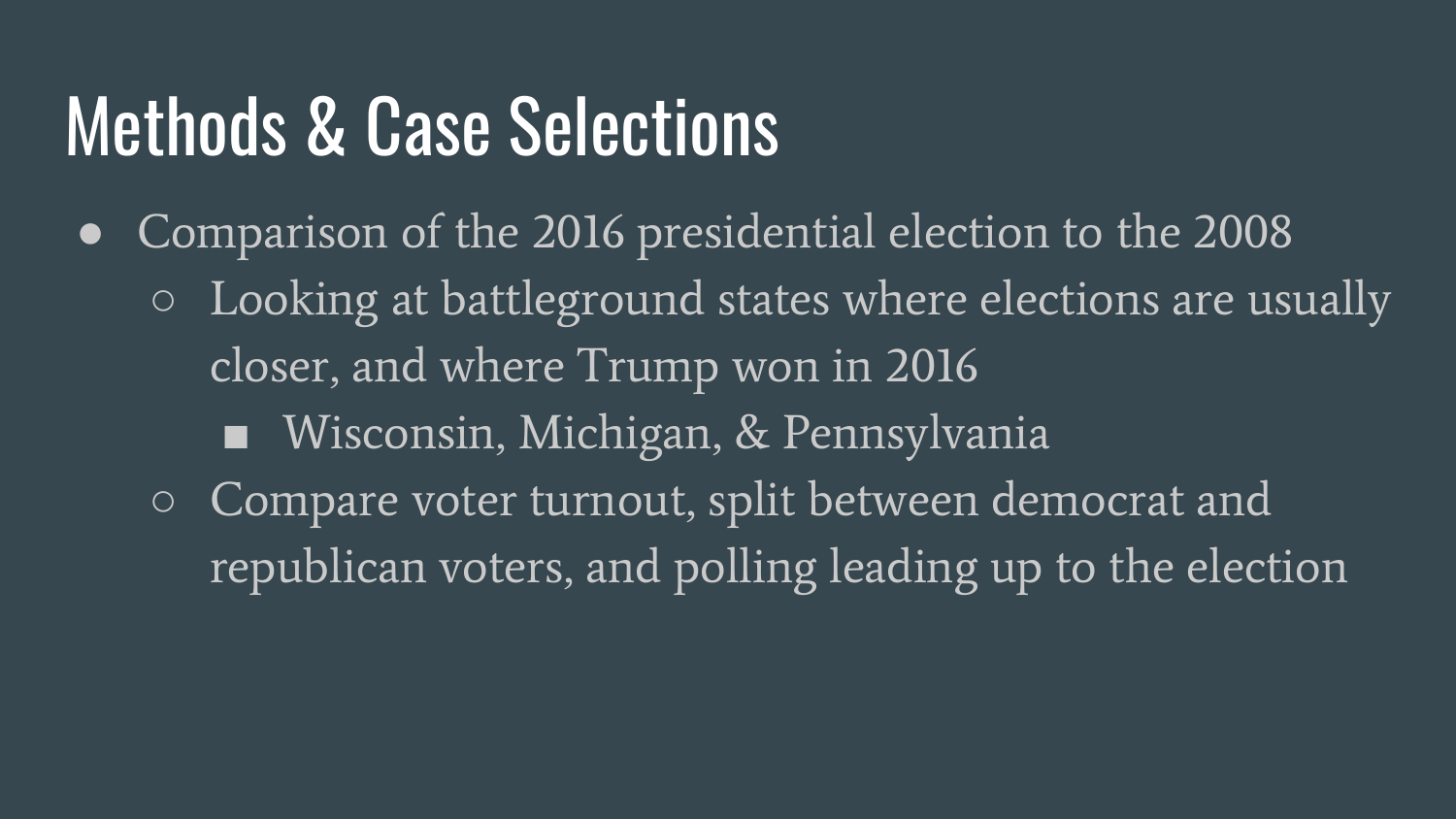#### Methods & Case Selections

• Comparison of the 2016 presidential election to the 2008 ○ Looking at battleground states where elections are usually closer, and where Trump won in 2016 ■ Wisconsin, Michigan, & Pennsylvania ○ Compare voter turnout, split between democrat and republican voters, and polling leading up to the election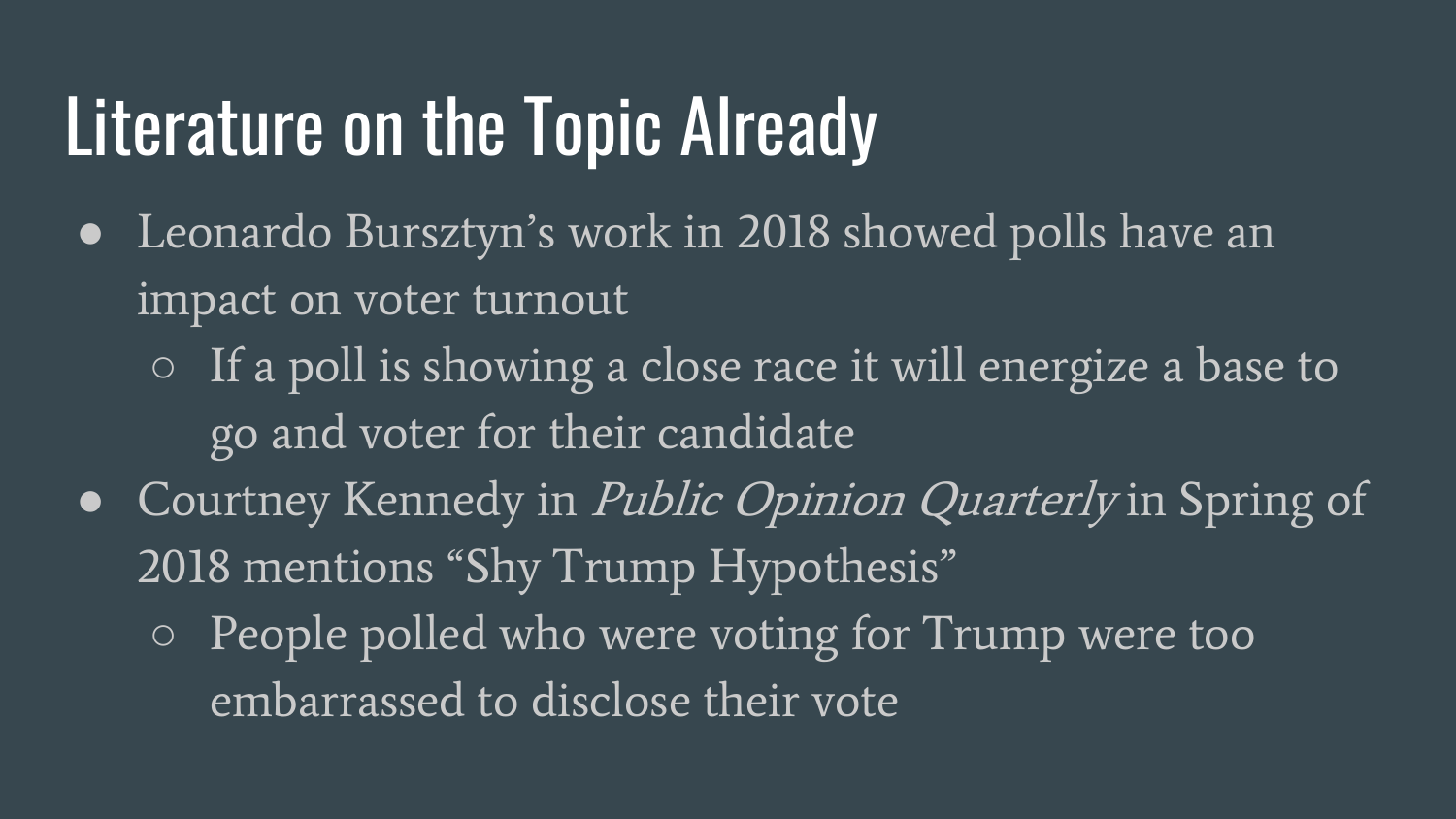# Literature on the Topic Already

- Leonardo Bursztyn's work in 2018 showed polls have an impact on voter turnout
	- If a poll is showing a close race it will energize a base to go and voter for their candidate
- Courtney Kennedy in *Public Opinion Quarterly* in Spring of 2018 mentions "Shy Trump Hypothesis"
	- People polled who were voting for Trump were too embarrassed to disclose their vote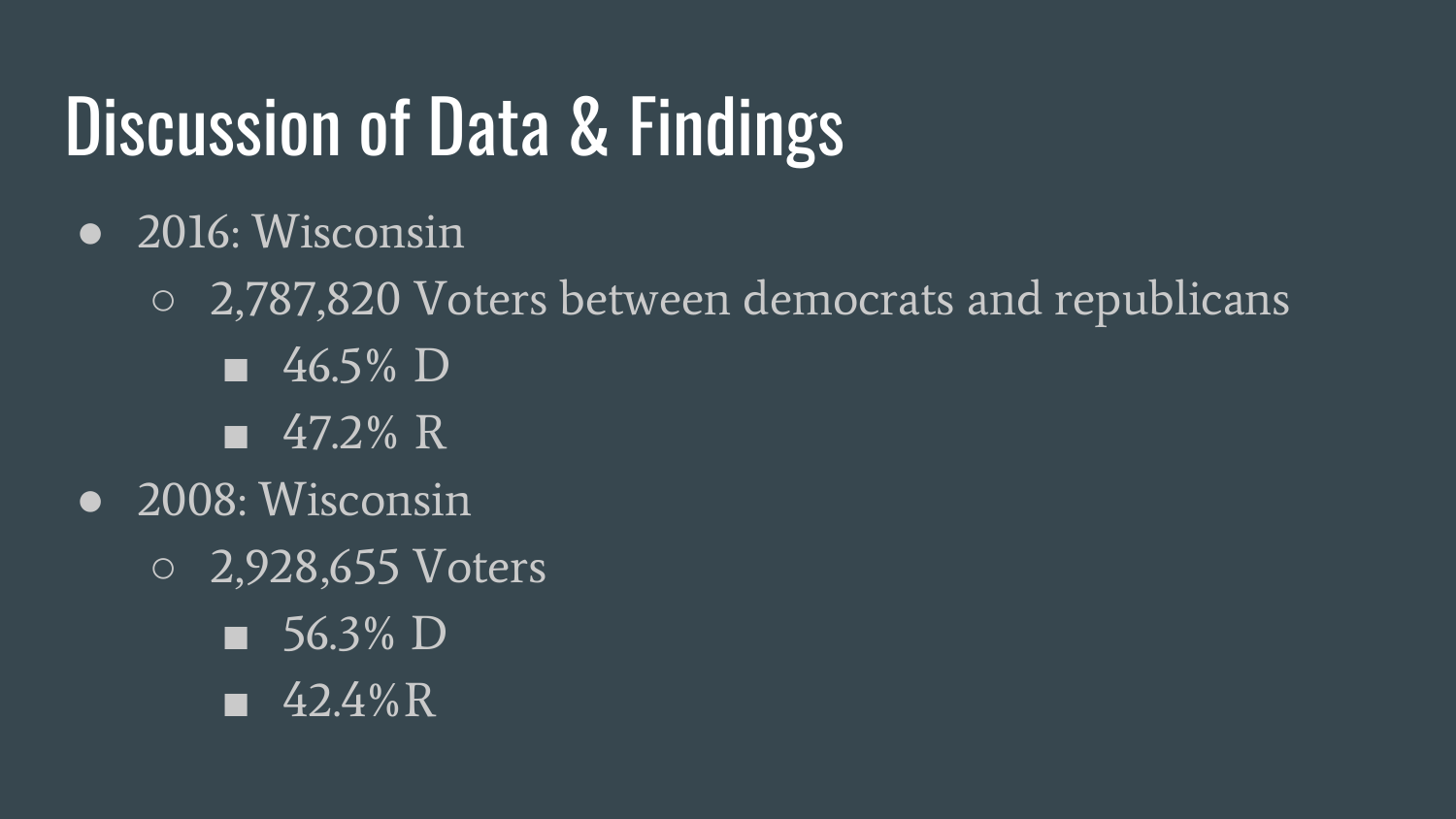# Discussion of Data & Findings

- 2016: Wisconsin
	- 2,787,820 Voters between democrats and republicans
		- $\overline{\phantom{0}}$  46.5% D
		- 47.2% R
- 2008: Wisconsin
	- 2,928,655 Voters
		- 56.3% D
		- 42.4%R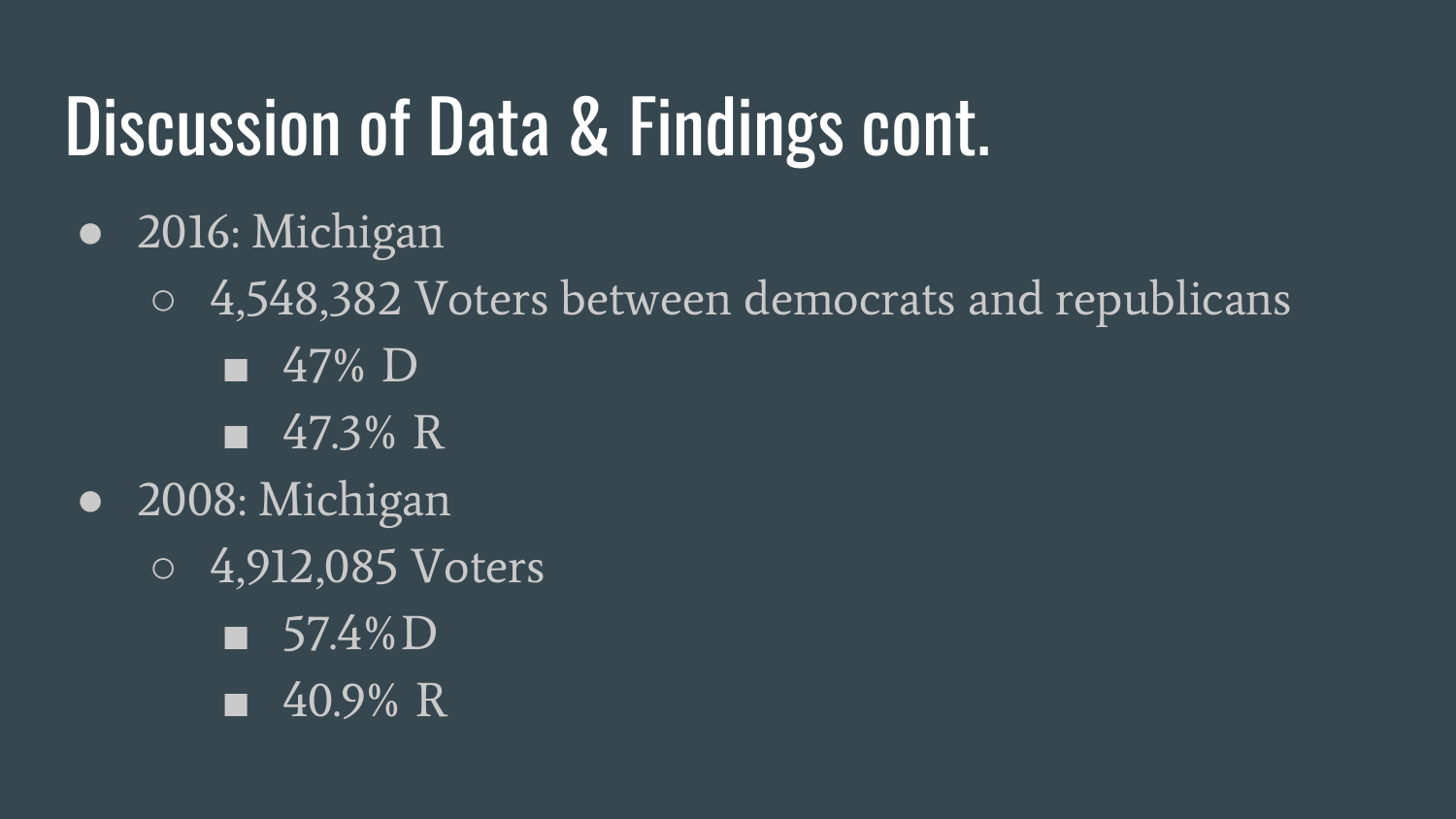# Discussion of Data & Findings cont.

- 2016: Michigan
	- 4,548,382 Voters between democrats and republicans
		- 47% D
		- 47.3% R
- 2008: Michigan
	- 4,912,085 Voters
		- 57.4%D
		- 40.9% R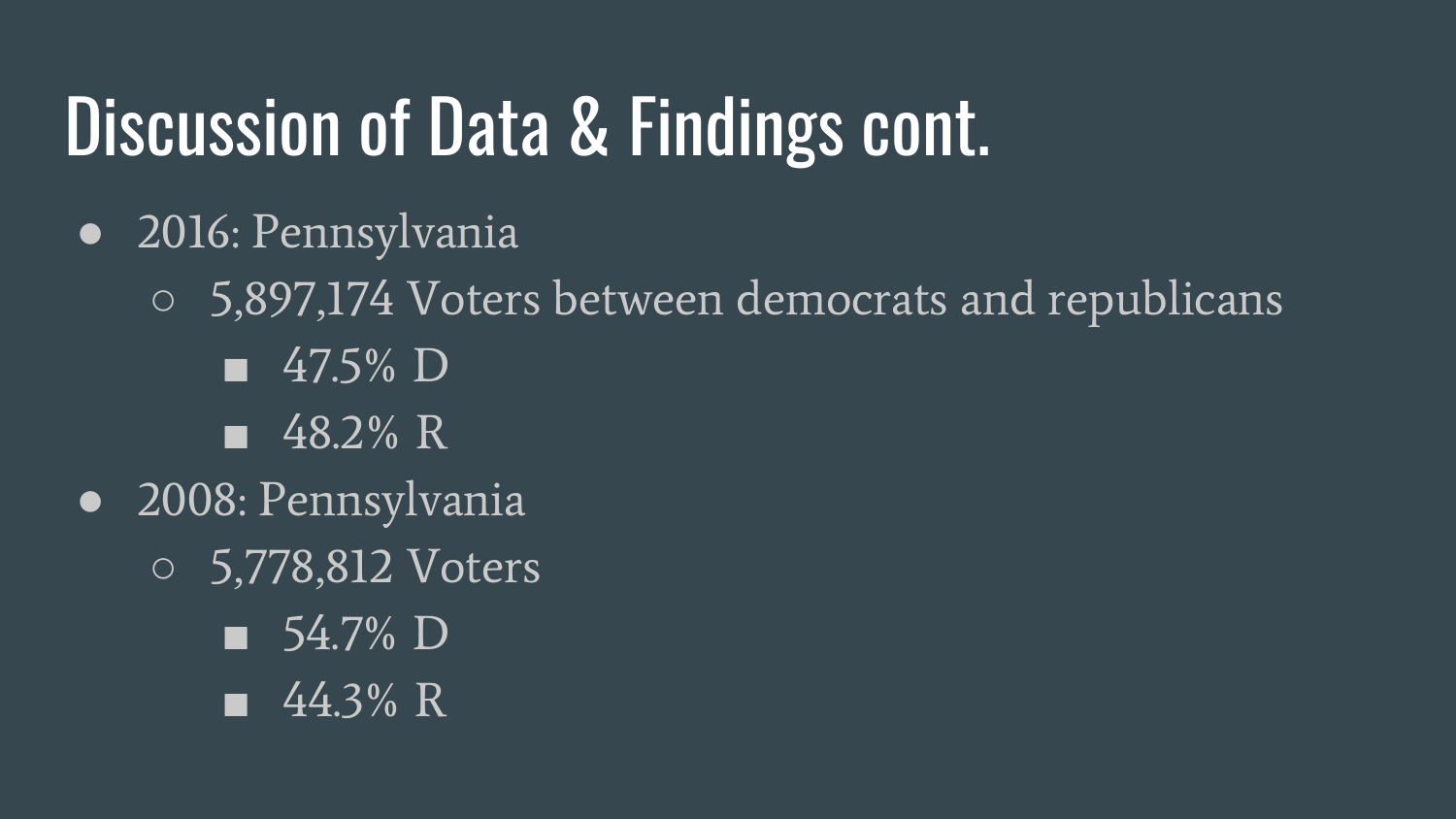# Discussion of Data & Findings cont.

- 2016: Pennsylvania
	- 5,897,174 Voters between democrats and republicans
		- 47.5% **D**
		- $\sqrt{48.2\% \text{ R}}$
- 2008: Pennsylvania
	- 5,778,812 Voters
		- 54.7% D
		- 44.3% R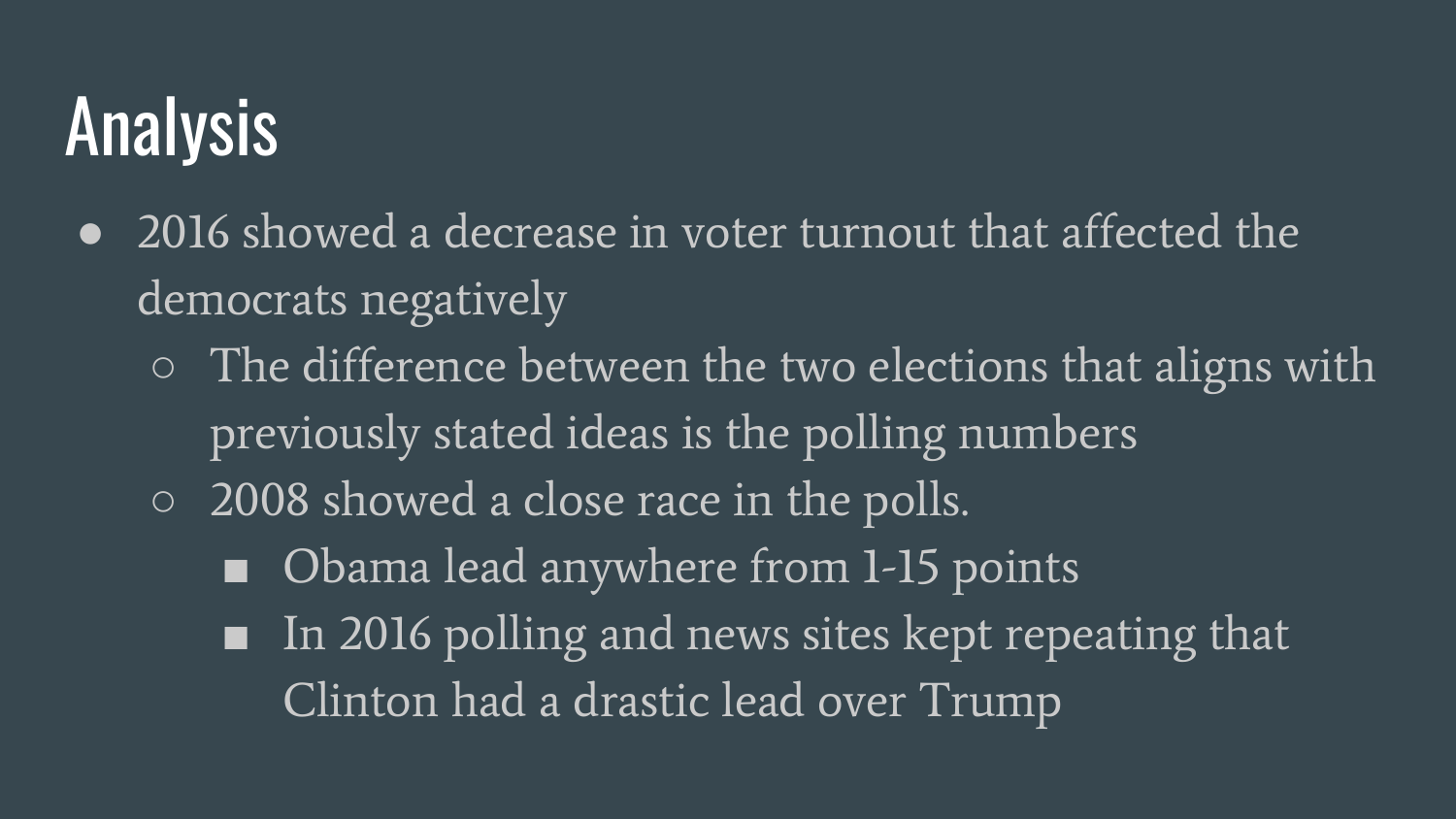# Analysis

- 2016 showed a decrease in voter turnout that affected the democrats negatively
	- $\circ$  The difference between the two elections that aligns with previously stated ideas is the polling numbers
	- 2008 showed a close race in the polls.
		- Obama lead anywhere from 1-15 points
		- In 2016 polling and news sites kept repeating that Clinton had a drastic lead over Trump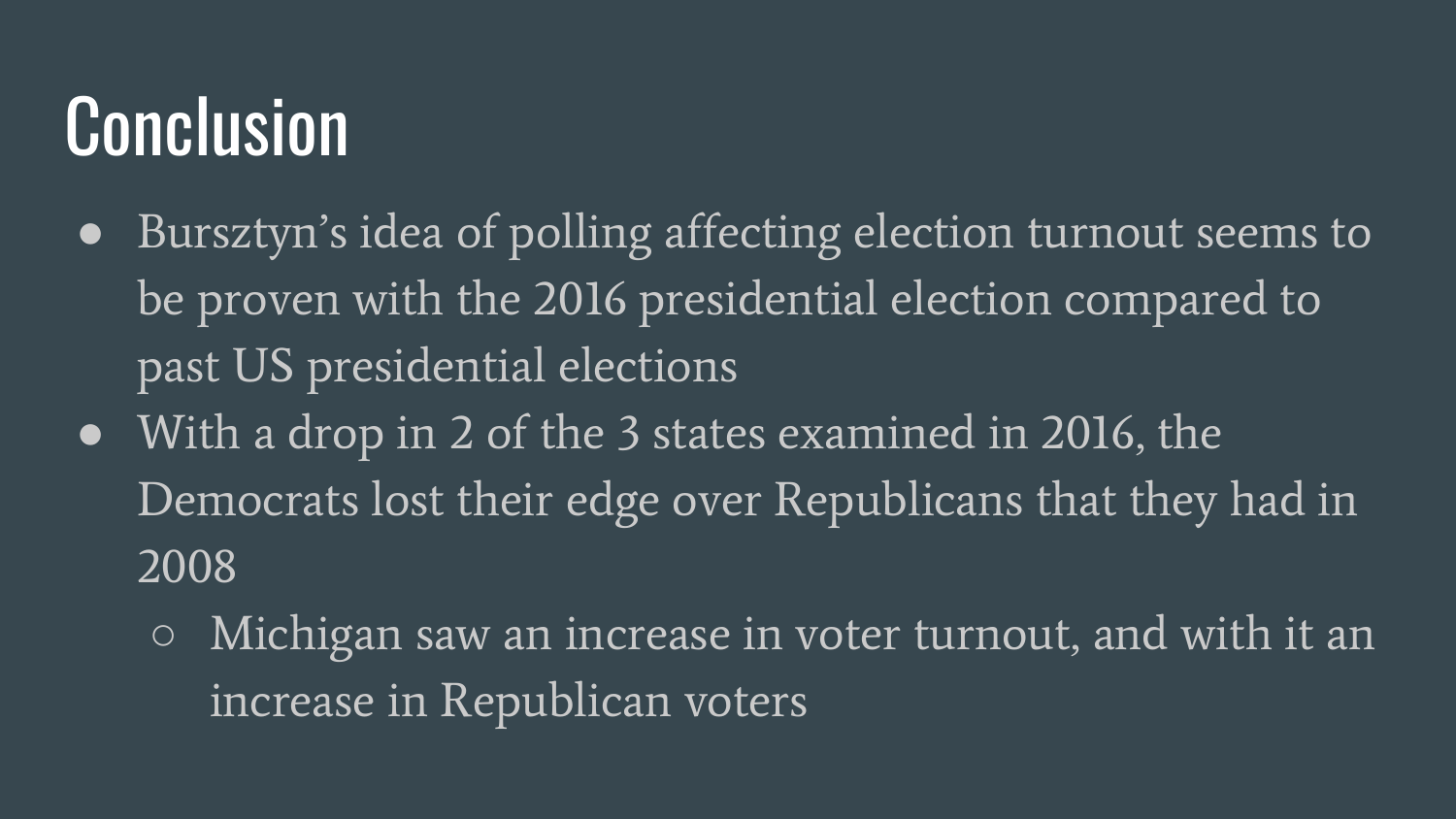### Conclusion

- Bursztyn's idea of polling affecting election turnout seems to be proven with the 2016 presidential election compared to past US presidential elections
- With a drop in 2 of the 3 states examined in 2016, the Democrats lost their edge over Republicans that they had in 2008
	- Michigan saw an increase in voter turnout, and with it an increase in Republican voters